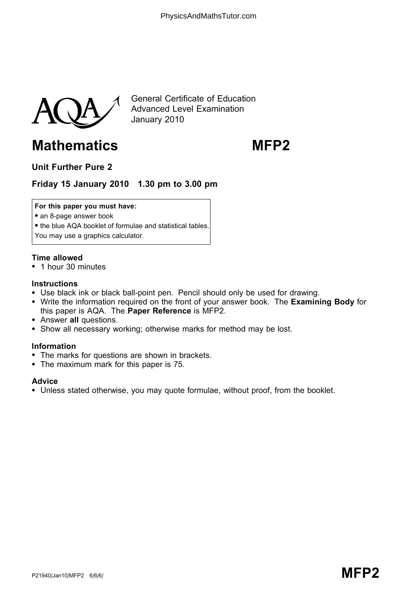

General Certificate of Education Advanced Level Examination January 2010

# Mathematics MFP2

# Unit Further Pure 2

# Friday 15 January 2010 1.30 pm to 3.00 pm

#### For this paper you must have:

- an 8-page answer book
- the blue AQA booklet of formulae and statistical tables.
- You may use a graphics calculator.

#### Time allowed

\* 1 hour 30 minutes

#### **Instructions**

- Use black ink or black ball-point pen. Pencil should only be used for drawing.
- Write the information required on the front of your answer book. The Examining Body for this paper is AQA. The Paper Reference is MFP2.
- Answer all questions.
- Show all necessary working; otherwise marks for method may be lost.

#### Information

- The marks for questions are shown in brackets.
- The maximum mark for this paper is 75.

#### **Advice**

\* Unless stated otherwise, you may quote formulae, without proof, from the booklet.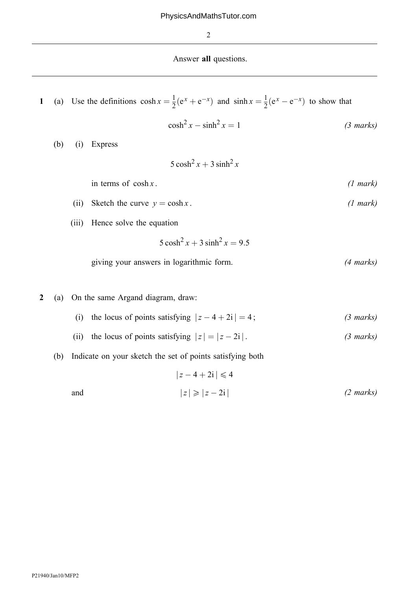2

### Answer all questions.

1 (a) Use the definitions 
$$
\cosh x = \frac{1}{2}(e^x + e^{-x})
$$
 and  $\sinh x = \frac{1}{2}(e^x - e^{-x})$  to show that

$$
\cosh^2 x - \sinh^2 x = 1 \tag{3 marks}
$$

(b) (i) Express

 $5 \cosh^2 x + 3 \sinh^2 x$ 

in terms of  $cosh x$ . (1 mark)

- (ii) Sketch the curve  $y = \cosh x$ . (1 mark)
- (iii) Hence solve the equation

 $5 \cosh^2 x + 3 \sinh^2 x = 9.5$ 

- giving your answers in logarithmic form. (4 marks)
- 2 (a) On the same Argand diagram, draw:
	- (i) the locus of points satisfying  $|z 4 + 2i| = 4$ ; (3 marks)
	- (ii) the locus of points satisfying  $|z| = |z 2i|$ . (3 marks)
	- (b) Indicate on your sketch the set of points satisfying both

$$
|z - 4 + 2i| \le 4
$$
  
and  

$$
|z| \ge |z - 2i|
$$
 (2 marks)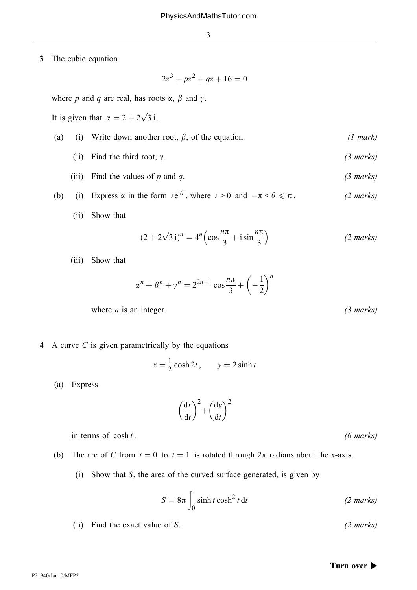3 The cubic equation

$$
2z^3 + pz^2 + qz + 16 = 0
$$

where p and q are real, has roots  $\alpha$ ,  $\beta$  and  $\gamma$ .

It is given that  $\alpha = 2 + 2\sqrt{3}$  i.

- (a) (i) Write down another root,  $\beta$ , of the equation. (1 mark)
	- (ii) Find the third root,  $\gamma$ . (3 marks)
	- (iii) Find the values of p and q.  $(3 \text{ marks})$
- (b) (i) Express  $\alpha$  in the form  $re^{i\theta}$ , where  $r > 0$  and  $-\pi < \theta \le \pi$ . (2 marks)
	- (ii) Show that

$$
(2 + 2\sqrt{3}i)^n = 4^n \left(\cos\frac{n\pi}{3} + i\sin\frac{n\pi}{3}\right)
$$
 (2 marks)

(iii) Show that

$$
\alpha^n + \beta^n + \gamma^n = 2^{2n+1} \cos \frac{n\pi}{3} + \left(-\frac{1}{2}\right)^n
$$

where  $n$  is an integer. (3 marks)

4 A curve C is given parametrically by the equations

$$
x = \frac{1}{2}\cosh 2t, \qquad y = 2\sinh t
$$

(a) Express

P21940/Jan10/MFP2

$$
\left(\frac{\mathrm{d}x}{\mathrm{d}t}\right)^2 + \left(\frac{\mathrm{d}y}{\mathrm{d}t}\right)^2
$$

in terms of  $\cosh t$ . (6 marks)

- (b) The arc of C from  $t = 0$  to  $t = 1$  is rotated through  $2\pi$  radians about the x-axis.
	- (i) Show that  $S$ , the area of the curved surface generated, is given by

$$
S = 8\pi \int_0^1 \sinh t \cosh^2 t \, dt
$$
 (2 marks)

(ii) Find the exact value of S. (2 marks)

#### Turn over  $\blacktriangleright$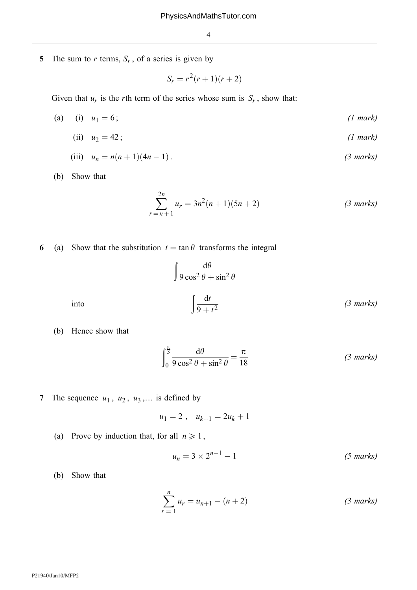5 The sum to r terms,  $S_r$ , of a series is given by

$$
S_r = r^2(r+1)(r+2)
$$

Given that  $u_r$  is the rth term of the series whose sum is  $S_r$ , show that:

- (a) (i)  $u_1 = 6$ ; (1 mark)
	- (ii)  $u_2 = 42$ ; (1 mark)

(iii) 
$$
u_n = n(n+1)(4n-1)
$$
. (3 marks)

(b) Show that

$$
\sum_{r=n+1}^{2n} u_r = 3n^2(n+1)(5n+2)
$$
 (3 marks)

6 (a) Show that the substitution  $t = \tan \theta$  transforms the integral

$$
\int \frac{d\theta}{9\cos^2\theta + \sin^2\theta}
$$
  
into 
$$
\int \frac{dt}{9+t^2}
$$
 (3 marks)

(b) Hence show that

$$
\int_0^{\frac{\pi}{3}} \frac{d\theta}{9\cos^2\theta + \sin^2\theta} = \frac{\pi}{18}
$$
 (3 marks)

7 The sequence  $u_1$ ,  $u_2$ ,  $u_3$ ,... is defined by

$$
u_1 = 2 \ , \quad u_{k+1} = 2u_k + 1
$$

(a) Prove by induction that, for all  $n \geq 1$ ,

$$
u_n = 3 \times 2^{n-1} - 1 \tag{5 marks}
$$

(b) Show that

$$
\sum_{r=1}^{n} u_r = u_{n+1} - (n+2)
$$
 (3 marks)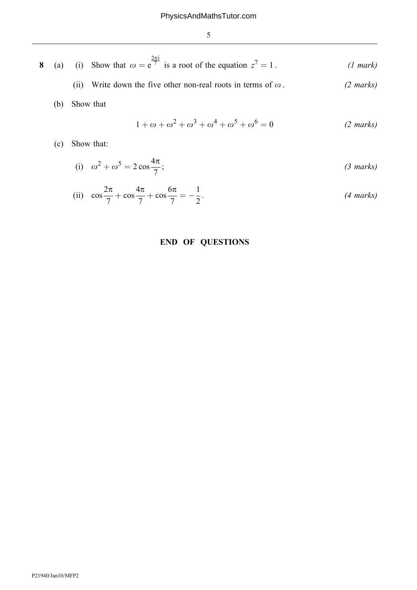|  |  | 8 (a) (i) Show that $\omega = e^{\overline{\tau}}$ is a root of the equation $z^7 = 1$ . | $(1 \text{ mark})$ |
|--|--|------------------------------------------------------------------------------------------|--------------------|
|  |  |                                                                                          |                    |

- (ii) Write down the five other non-real roots in terms of  $\omega$ . (2 marks)
- (b) Show that

$$
1 + \omega + \omega^2 + \omega^3 + \omega^4 + \omega^5 + \omega^6 = 0
$$
 (2 marks)

(c) Show that:

(i) 
$$
\omega^2 + \omega^5 = 2\cos\frac{4\pi}{7}
$$
; (3 marks)

(ii) 
$$
\cos \frac{2\pi}{7} + \cos \frac{4\pi}{7} + \cos \frac{6\pi}{7} = -\frac{1}{2}
$$
. (4 marks)

## END OF QUESTIONS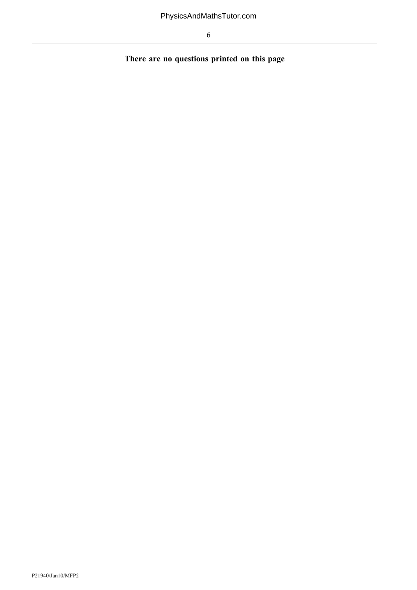There are no questions printed on this page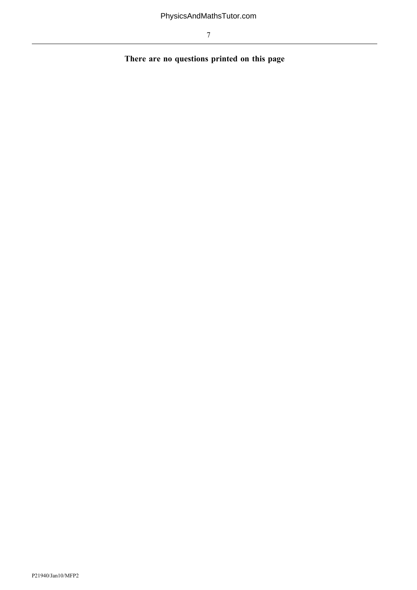There are no questions printed on this page